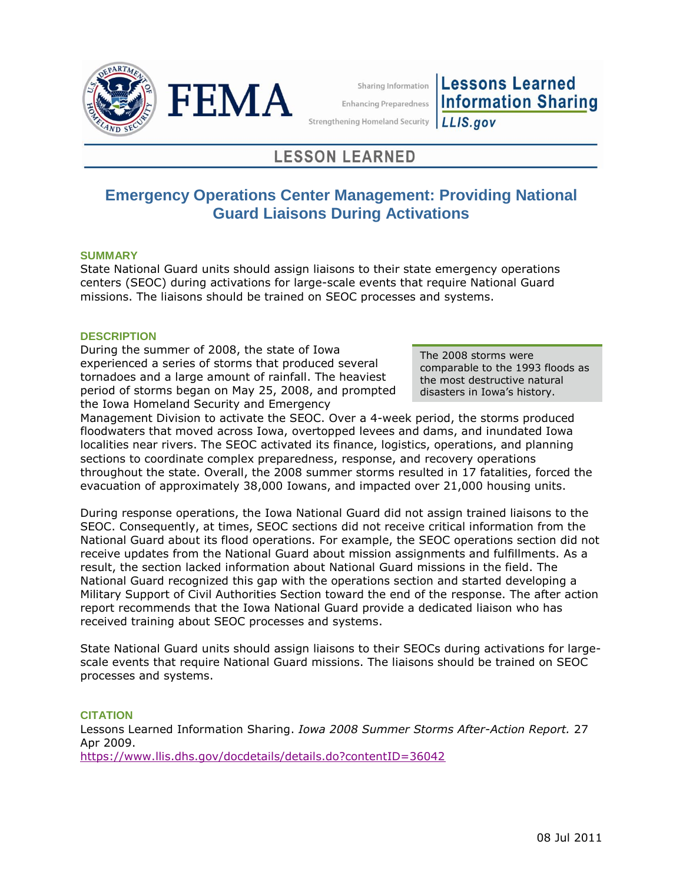



Sharing Information **Enhancing Preparedness** 

**Lessons Learned Information Sharing** 

**Strengthening Homeland Security** LLIS.gov

# **LESSON LEARNED**

# **Emergency Operations Center Management: Providing National Guard Liaisons During Activations**

## **SUMMARY**

State National Guard units should assign liaisons to their state emergency operations centers (SEOC) during activations for large-scale events that require National Guard missions. The liaisons should be trained on SEOC processes and systems.

## **DESCRIPTION**

During the summer of 2008, the state of Iowa experienced a series of storms that produced several tornadoes and a large amount of rainfall. The heaviest period of storms began on May 25, 2008, and prompted the Iowa Homeland Security and Emergency

The 2008 storms were comparable to the 1993 floods as the most destructive natural disasters in Iowa's history.

Management Division to activate the SEOC. Over a 4-week period, the storms produced floodwaters that moved across Iowa, overtopped levees and dams, and inundated Iowa localities near rivers. The SEOC activated its finance, logistics, operations, and planning sections to coordinate complex preparedness, response, and recovery operations throughout the state. Overall, the 2008 summer storms resulted in 17 fatalities, forced the evacuation of approximately 38,000 Iowans, and impacted over 21,000 housing units.

During response operations, the Iowa National Guard did not assign trained liaisons to the SEOC. Consequently, at times, SEOC sections did not receive critical information from the National Guard about its flood operations. For example, the SEOC operations section did not receive updates from the National Guard about mission assignments and fulfillments. As a result, the section lacked information about National Guard missions in the field. The National Guard recognized this gap with the operations section and started developing a Military Support of Civil Authorities Section toward the end of the response. The after action report recommends that the Iowa National Guard provide a dedicated liaison who has received training about SEOC processes and systems.

State National Guard units should assign liaisons to their SEOCs during activations for largescale events that require National Guard missions. The liaisons should be trained on SEOC processes and systems.

#### **CITATION**

Lessons Learned Information Sharing. *Iowa 2008 Summer Storms After-Action Report.* 27 Apr 2009. <https://www.llis.dhs.gov/docdetails/details.do?contentID=36042>